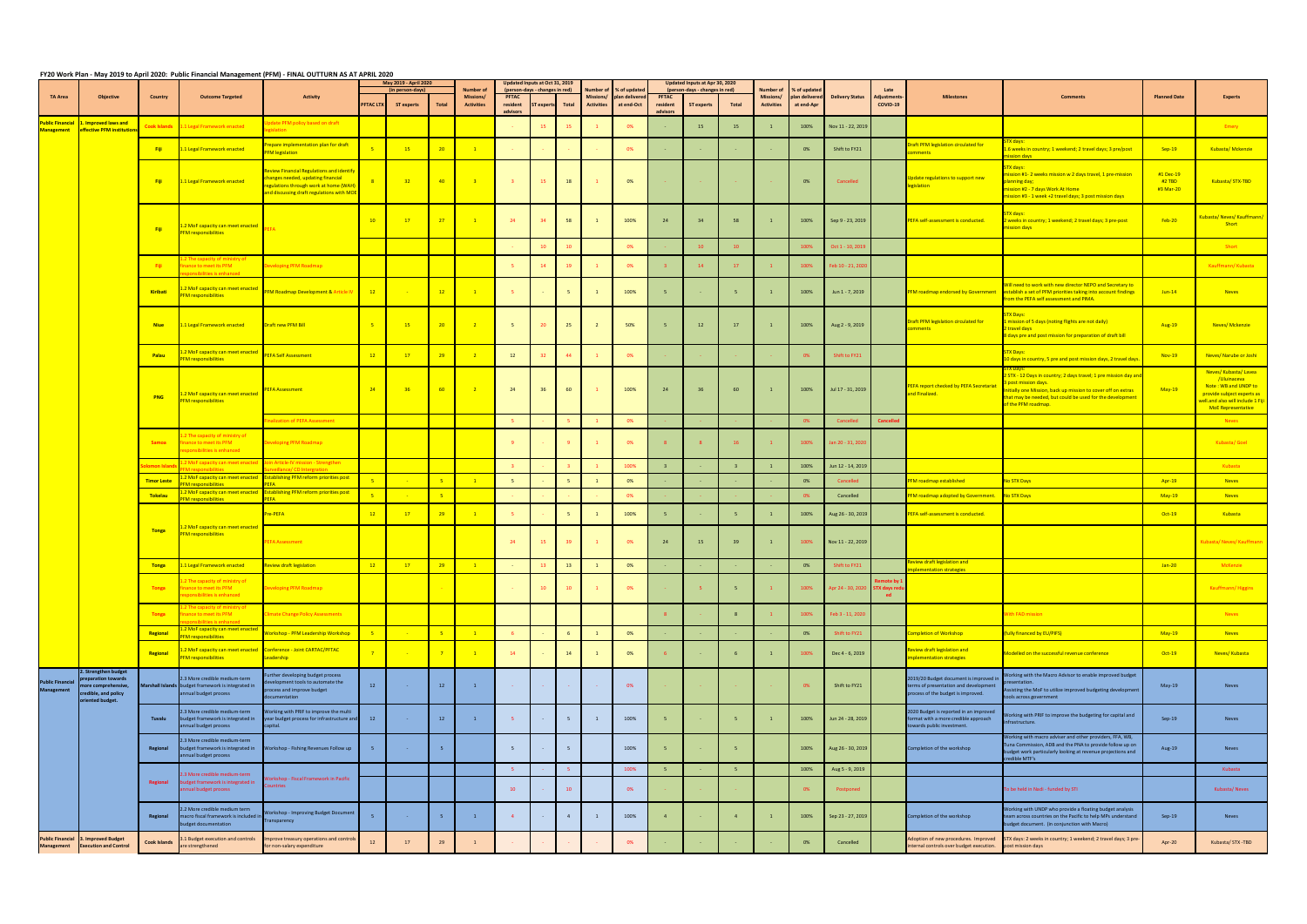## FY20 Work Plan - May 2019 to April 2020: Public Financial Management (PFM) - FINAL OUTTURN AS AT APRIL 2020

|                                              |                                                                                                                   |                     |                                                                                                              | <b>Activity</b>                                                                                                                                                    |                  | May 2019 - April 2020<br>(in person-days) |                 | <b>Number of</b>                      |                                      | Updated Inputs at Oct 31, 2019<br>(person-days - changes in red) |                 | umber of<br>% of update        |                             | Updated Inputs at Apr 30, 2020<br>(person-days - changes in red) |                   | Number of |                                | % of update                  |                        | Late                           |                                                                                                                       |                                                                                                                                                                                                                                          |                                  |                                                                                                                                                            |
|----------------------------------------------|-------------------------------------------------------------------------------------------------------------------|---------------------|--------------------------------------------------------------------------------------------------------------|--------------------------------------------------------------------------------------------------------------------------------------------------------------------|------------------|-------------------------------------------|-----------------|---------------------------------------|--------------------------------------|------------------------------------------------------------------|-----------------|--------------------------------|-----------------------------|------------------------------------------------------------------|-------------------|-----------|--------------------------------|------------------------------|------------------------|--------------------------------|-----------------------------------------------------------------------------------------------------------------------|------------------------------------------------------------------------------------------------------------------------------------------------------------------------------------------------------------------------------------------|----------------------------------|------------------------------------------------------------------------------------------------------------------------------------------------------------|
| <b>TA Area</b>                               | <b>Objective</b>                                                                                                  | Country             | <b>Outcome Targeted</b>                                                                                      |                                                                                                                                                                    | <b>PFTAC LTX</b> | ST experts                                | Total           | <b>Missions/</b><br><b>Activities</b> | <b>PFTAC</b><br>resident<br>advisors | $\mathsf{s}\mathsf{T}$ experts                                   | Total           | Missions/<br><b>Activities</b> | plan delivere<br>at end-Oct | <b>PFTAC</b><br>resident<br>advisors                             | <b>ST experts</b> | Total     | Missions/<br><b>Activities</b> | plan delivered<br>at end-Apr | <b>Delivery Status</b> | Adjustment<br>COVID-19         | <b>Milestones</b>                                                                                                     | <b>Comments</b>                                                                                                                                                                                                                          | <b>Planned Date</b>              | <b>Experts</b>                                                                                                                                             |
| <b>Public Financial</b><br>nanagement        | <b>Improved laws and</b><br><b>ffective PFM institutio</b>                                                        | <b>Cook Islands</b> | 1.1 Legal Framework enacted                                                                                  | date PFM policy based on draft<br>zislation                                                                                                                        |                  |                                           |                 |                                       |                                      | 15                                                               | 15              |                                | 0%                          |                                                                  | 15                | 15        |                                | 100%                         | Nov 11 - 22, 2019      |                                |                                                                                                                       |                                                                                                                                                                                                                                          |                                  | Emery                                                                                                                                                      |
|                                              |                                                                                                                   | - Fiji              | 1.1 Legal Framework enacted                                                                                  | repare implementation plan for draft<br><b>PFM legislation</b>                                                                                                     |                  | 15                                        | 20              |                                       |                                      |                                                                  |                 |                                | 0%                          |                                                                  |                   |           |                                | 0%                           | Shift to FY21          |                                | Oraft PFM legislation circulated for<br>mments                                                                        | TX days:<br>.6 weeks in country; 1 weekend; 2 travel days; 3 pre/post                                                                                                                                                                    | $Sep-19$                         | Kubasta/Mckenzie                                                                                                                                           |
|                                              |                                                                                                                   | - Fiji              | 1.1 Legal Framework enacted                                                                                  | eview Financial Regulations and identify<br>hanges needed, updating financial<br>egulations through work at home (WAH)<br>and discussing draft regulations with MO |                  | 32                                        | 40 <sup>°</sup> | $\overline{3}$                        |                                      | 15                                                               | 18              |                                | 0%                          |                                                                  |                   |           |                                | 0%                           | Cancelled              |                                | Update regulations to support new<br><b>legislation</b>                                                               | sveh noias<br>TX days:<br>ission #1-2 weeks mission w 2 days travel, 1 pre-mission<br>lanning day;<br>iission #2 - 7 days Work At Home<br>ission #3 - 1 week +2 travel days; 3 post mission days                                         | #1 Dec-19<br>#2 TBD<br>#3 Mar-20 | Kubasta/STX-TBD                                                                                                                                            |
|                                              |                                                                                                                   | - Fiji              | 2 MoF capacity can meet enacted<br><b>PFM</b> responsibilities                                               |                                                                                                                                                                    | 10               | 17                                        | 27              |                                       | 24                                   | 34                                                               | 58              | $\mathbf{1}$                   | 100%                        | 24                                                               | 34                | 58        |                                | 100%                         | Sep 9 - 23, 2019       |                                | PEFA self-assessment is conducted.                                                                                    | TX days:<br>2 weeks in country; 1 weekend; 2 travel days; 3 pre-post<br>nission days                                                                                                                                                     | <b>Feb-20</b>                    | ubasta/ Neves/ Kauffmann/<br><b>Short</b>                                                                                                                  |
|                                              |                                                                                                                   |                     |                                                                                                              |                                                                                                                                                                    |                  |                                           |                 |                                       |                                      | 10                                                               | 10              |                                | 0%                          |                                                                  | 10                |           |                                | 100%                         | Oct 1 - 10, 2019       |                                |                                                                                                                       |                                                                                                                                                                                                                                          |                                  | Short                                                                                                                                                      |
|                                              |                                                                                                                   | - Fiji              | The capacity of ministry o<br>inance to meet its PFM<br>onsibilities is enhanced                             | eveloping PFM Roadmap                                                                                                                                              |                  |                                           |                 |                                       |                                      | 14                                                               | 19              |                                | 0%                          | $\mathbf{3}$                                                     | 14                |           |                                | 100%                         | eb 10 - 21, 202        |                                |                                                                                                                       |                                                                                                                                                                                                                                          |                                  | Kauffmann/Kubasta                                                                                                                                          |
|                                              |                                                                                                                   | Kiribati            | 2 MoF capacity can meet enacted<br><b>PFM</b> responsibilities                                               | <b>PFM Roadmap Development &amp; Article IV</b>                                                                                                                    | 12               |                                           | 12              | $\overline{1}$                        |                                      |                                                                  | 5               |                                | 100%                        | 5 <sub>1</sub>                                                   |                   |           |                                | 100%                         | Jun 1 - 7, 2019        |                                | PFM roadmap endorsed by Government                                                                                    | <b>Jill need to work with new director NEPO and Secretary to</b><br>establish a set of PFM priorities taking into account findings<br>rom the PEFA self assessment and PIMA.                                                             | $Jun-14$                         | <b>Neves</b>                                                                                                                                               |
|                                              |                                                                                                                   | <b>Niue</b>         | 1.1 Legal Framework enacted                                                                                  | Draft new PFM Bill                                                                                                                                                 | $-5$             | 15                                        | $20 -$          | $\overline{2}$                        |                                      | 20                                                               | 25              |                                | 50%                         | -5                                                               | 12                | 17        |                                | 100%                         | Aug 2 - 9, 2019        |                                | Draft PFM legislation circulated for<br>omments                                                                       | <b>X Davs</b><br>mission of 5 days (noting flights are not daily)<br>2 travel days<br>I days pre and post mission for preparation of draft bill                                                                                          | Aug-19                           | Neves/Mckenzie                                                                                                                                             |
|                                              |                                                                                                                   | Palau               | 2 MoF capacity can meet enacted<br><b>PFM</b> responsibilities                                               | <b>PEFA Self Assessment</b>                                                                                                                                        | 12               | 17                                        | 29              |                                       | 12                                   | 32                                                               | $-44$           |                                | 0%                          |                                                                  |                   |           |                                | 0%                           | Shift to FY21          |                                |                                                                                                                       | <b>STX Days:</b><br><mark>10 days in country, 5 pre and post mission days, 2 travel day</mark>                                                                                                                                           | Nov-19                           | Neves/ Narube or Joshi                                                                                                                                     |
|                                              |                                                                                                                   | <b>PNG</b>          | 1.2 MoF capacity can meet enacted<br><b>PFM</b> responsibilities                                             | <b>EFA Assessment</b>                                                                                                                                              | 24               | 36                                        | 60              |                                       | 24                                   | 36                                                               | 60              |                                | 100%                        | 24                                                               | 36                | 60        |                                | 100%                         | Jul 17 - 31, 2019      |                                | PEFA report checked by PEFA Secretariat<br>and Finalized.                                                             | 2 STX - 12 Days in country; 2 days travel; 1 pre mission day ar<br>post mission days.<br>nitially one Mission, back up mission to cover off on extras<br>hat may be needed, but could be used for the development<br>of the PFM roadmap. | $May-19$                         | Neves/Kubasta/Lavea<br>/Uluinaceva<br>Note: WB and UNDP to<br>provide subject experts as<br>vell.and also will include 1 Fiji<br><b>MoE Representative</b> |
|                                              |                                                                                                                   |                     |                                                                                                              | nalization of PEFA Assessment                                                                                                                                      |                  |                                           |                 |                                       |                                      |                                                                  |                 |                                | 0%                          |                                                                  |                   |           |                                | 0%                           | Cancelled              | Cancelled                      |                                                                                                                       |                                                                                                                                                                                                                                          |                                  | <b>Neves</b>                                                                                                                                               |
|                                              |                                                                                                                   | Samoa               | 2 The capacity of ministry of<br>inance to meet its PFM<br>sponsibilities is enhanced                        | eveloping PFM Roadmap                                                                                                                                              |                  |                                           |                 |                                       |                                      |                                                                  | 9               |                                | 0%                          |                                                                  | 8                 |           |                                | 100%                         | Jan 20 - 31, 2020      |                                |                                                                                                                       |                                                                                                                                                                                                                                          |                                  | Kubasta/Goel                                                                                                                                               |
|                                              |                                                                                                                   |                     | MoF capacity can meet enacte                                                                                 | in Article-IV mission - Strengthen                                                                                                                                 |                  |                                           |                 |                                       |                                      |                                                                  | $\mathbf{B}$    |                                | 100%                        | 3 <sup>1</sup>                                                   |                   |           |                                | 100%                         | Jun 12 - 14, 2019      |                                |                                                                                                                       |                                                                                                                                                                                                                                          |                                  | Kubasta                                                                                                                                                    |
|                                              |                                                                                                                   | <b>Timor Leste</b>  | <b>EM responsibilities</b>                                                                                   | 2 MoF capacity can meet enacted Establishing PFM reform priorities post                                                                                            |                  |                                           | $-5$            |                                       |                                      |                                                                  | 5               |                                | 0%                          |                                                                  |                   |           |                                | 0%                           | Cancelled              |                                | FM roadmap established                                                                                                | <b>No STX Days</b>                                                                                                                                                                                                                       | Apr-19                           | <b>Neves</b>                                                                                                                                               |
|                                              |                                                                                                                   | Tokelau             | <b>FM responsibilities</b>                                                                                   | .2 MoF capacity can meet enacted Establishing PFM reform priorities post                                                                                           |                  |                                           | $-5$            |                                       |                                      |                                                                  |                 |                                | 0%                          |                                                                  |                   |           |                                |                              | Cancelled              |                                | <b>FM roadmap adopted by Government</b>                                                                               | No STX Days                                                                                                                                                                                                                              | $May-19$                         | <b>Neves</b>                                                                                                                                               |
|                                              |                                                                                                                   |                     |                                                                                                              | Pre-PEFA                                                                                                                                                           | 12               | 17                                        | 29              | $\mathbf{1}$                          |                                      |                                                                  | $5^{\circ}$     | $\overline{1}$                 | 100%                        | 5 <sup>5</sup>                                                   |                   |           |                                | 100%                         | Aug 26 - 30, 2019      |                                | PEFA self-assessment is conducted.                                                                                    |                                                                                                                                                                                                                                          | $Oct-19$                         | Kubasta                                                                                                                                                    |
|                                              |                                                                                                                   | <b>Tonga</b>        | .2 MoF capacity can meet enacted<br><b>PFM</b> responsibilities                                              | <b>EFA Assessment</b>                                                                                                                                              |                  |                                           |                 |                                       | 24                                   | 15                                                               | 39              |                                | 0%                          | 24                                                               | 15                | 39        |                                | 100%                         | Nov 11 - 22, 2019      |                                |                                                                                                                       |                                                                                                                                                                                                                                          |                                  | Kubasta/ Neves/ Kauffmanr                                                                                                                                  |
|                                              |                                                                                                                   | <b>Tonga</b>        | 1.1 Legal Framework enacted                                                                                  | eview draft legislation                                                                                                                                            | 12               | $-17$                                     | 29              | $-1$                                  |                                      | <b>13</b>                                                        | 13              | $\mathbf{1}$                   | 0%                          |                                                                  |                   |           |                                | 0%                           | Shift to FY21          |                                | view draft legislation and                                                                                            |                                                                                                                                                                                                                                          | $Jan-20$                         | McKenzie                                                                                                                                                   |
|                                              |                                                                                                                   | Tonga               | 2 The capacity of ministry of<br><b>finance to meet its PFM</b><br>esponsibilities is enhanced               | eveloping PFM Roadmap                                                                                                                                              |                  |                                           |                 |                                       |                                      | 10                                                               | 10              |                                | 0%                          |                                                                  | $-5$              |           |                                | 100%                         | Apr 24 - 30, 2020      | note by<br><b>STX days red</b> |                                                                                                                       |                                                                                                                                                                                                                                          |                                  | Kauffmann/Higgins                                                                                                                                          |
|                                              |                                                                                                                   | <b>Tonga</b>        | The capacity of ministry of<br>nance to meet its PFM<br>consibilities is enhanced                            | limate Change Policy Assessments                                                                                                                                   |                  |                                           |                 |                                       |                                      |                                                                  |                 |                                |                             | 8 <sup>1</sup>                                                   |                   |           |                                | 100%                         | Feb 3 - 11, 2020       |                                |                                                                                                                       | <b>Vith FAD mission</b>                                                                                                                                                                                                                  |                                  | <b>Neves</b>                                                                                                                                               |
|                                              |                                                                                                                   | Regional            | L.2 MoF capacity can meet enacted<br>M responsibilities                                                      | <b>Vorkshop - PFM Leadership Workshop</b>                                                                                                                          | -51              |                                           | $-5$            | $\overline{1}$                        |                                      |                                                                  | $6\overline{6}$ | $\mathbf{1}$                   | 0%                          |                                                                  |                   |           |                                | 0%                           | Shift to FY21          |                                | ompletion of Workshop                                                                                                 | <b>fully financed by EU/PIFS)</b>                                                                                                                                                                                                        | $May-19$                         | <b>Neves</b>                                                                                                                                               |
|                                              |                                                                                                                   | Regional            | <b>PFM responsibilities</b>                                                                                  | L.2 MoF capacity can meet enacted    Conference - Joint CARTAC/PFTAC<br>Leadership                                                                                 |                  |                                           | $7^{\circ}$     | $\overline{1}$                        | 14                                   |                                                                  | <b>14</b>       |                                | 0%                          | - 6                                                              |                   |           | 1                              | 100%                         | Dec 4 - 6, 2019        |                                | eview draft legislation and<br>mplementation strategies                                                               | Modelled on the successful revenue conference                                                                                                                                                                                            | $Oct-19$                         | Neves/Kubasta                                                                                                                                              |
| <b>Public Financial</b><br><b>Management</b> | <b>Strengthen budget</b><br>preparation towards<br>nore comprehensive,<br>redible, and policy<br>priented budget. |                     | 2.3 More credible medium-term<br>Marshall Islands budget framework is integrated in<br>annual budget process | urther developing budget process<br>elopment tools to automate the<br>ocess and improve budget<br>pcumentation                                                     | 12               |                                           | 12              | $\mathbf{1}$                          |                                      |                                                                  |                 |                                | 0%                          |                                                                  |                   |           |                                | 0%                           | Shift to FY21          |                                | 2019/20 Budget document is improved ir<br>terms of presentation and development<br>process of the budget is improved. | <b>Norking with the Macro Advisor to enable improved budget</b><br>sentation.<br>sisting the MoF to utilize improved budgeting development<br>tools across government                                                                    | May-19                           | Neves                                                                                                                                                      |
|                                              |                                                                                                                   | Tuvalu              | 2.3 More credible medium-term<br>budget framework is integrated in<br>annual budget process                  | Working with PRIF to improve the multi<br>year budget process for infrastructure and<br>apital.                                                                    | 12               |                                           | 12              | $\mathbf{1}$                          | -5 -                                 |                                                                  | 5               | $\mathbf{1}$                   | 100%                        | -5                                                               |                   |           |                                | 100%                         | Jun 24 - 28, 2019      |                                | 2020 Budget is reported in an improved<br>format with a more credible approach<br>towards public investment.          | Working with PRIF to improve the budgeting for capital and<br>infrastructure.                                                                                                                                                            | $Sep-19$                         | Neves                                                                                                                                                      |
|                                              |                                                                                                                   | Regional            | 2.3 More credible medium-term<br>annual budget process                                                       | budget framework is integrated in Workshop - Fishing Revenues Follow up                                                                                            |                  | <b>College</b>                            | 5               |                                       |                                      |                                                                  | $5\phantom{a}$  |                                | 100%                        | 5 <sup>5</sup>                                                   |                   |           |                                | 100%                         | Aug 26 - 30, 2019      |                                | Completion of the workshop                                                                                            | Working with macro adviser and other providers, FFA, WB,<br>Tuna Commission, ADB and the PNA to provide follow up on<br>budget work particularly looking at revenue projections and<br>credible MTF's                                    | Aug-19                           | Neves                                                                                                                                                      |
|                                              |                                                                                                                   |                     | .3 More credible medium-term                                                                                 |                                                                                                                                                                    |                  |                                           |                 |                                       | $-5$                                 |                                                                  | $-5$            |                                | 100%                        | $-5$                                                             |                   |           |                                | 100%                         | Aug 5 - 9, 2019        |                                |                                                                                                                       |                                                                                                                                                                                                                                          |                                  | Kubasta                                                                                                                                                    |
|                                              |                                                                                                                   | Regional            | budget framework is integrated in<br>annual budget process                                                   | <b>Torkshop - Fiscal Framework in Pacific</b><br>untries                                                                                                           |                  |                                           |                 |                                       | 10                                   |                                                                  | 10              |                                | 0%                          |                                                                  |                   |           |                                | 0%                           | Postponed              |                                |                                                                                                                       | To be held in Nadi - funded by STI                                                                                                                                                                                                       |                                  | Kubasta/Neves                                                                                                                                              |
|                                              |                                                                                                                   | Regional            | 2.2 More credible medium term<br>macro fiscal framework is included in<br>udget documentation                | <b>Vorkshop - Improving Budget Document</b><br>ansparency                                                                                                          |                  | <b>College</b>                            |                 | $\overline{1}$                        | $\overline{4}$                       |                                                                  | 4               |                                | 100%                        | $\overline{4}$                                                   |                   |           |                                | 100%                         | Sep 23 - 27, 2019      |                                | Completion of the workshop                                                                                            | Working with UNDP who provide a floating budget analysis<br>team across countries on the Pacific to help MPs understand<br>budget document. (in conjunction with Macro)                                                                  | $Sep-19$                         | Neves                                                                                                                                                      |
| <b>Management</b>                            | <b>Public Financial 3. Improved Budget</b><br><b>Execution and Control</b>                                        | Cook Islands        | 3.1 Budget execution and controls<br>are strengthened                                                        | mprove treasury operations and control:<br>for non-salary expenditure                                                                                              | 12               | 17                                        | 29              |                                       |                                      |                                                                  |                 |                                | 0%                          |                                                                  |                   |           |                                | 0%                           | Cancelled              |                                | Adoption of new procedures. Improved<br>internal controls over budget execution.                                      | STX days: 2 weeks in country; 1 weekend; 2 travel days; 3 pre<br>post mission days                                                                                                                                                       | Apr-20                           | Kubasta/STX-TBD                                                                                                                                            |